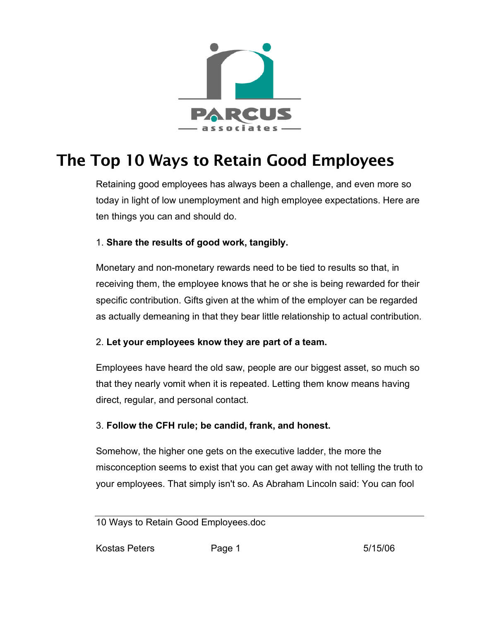

# The Top 10 Ways to Retain Good Employees

Retaining good employees has always been a challenge, and even more so today in light of low unemployment and high employee expectations. Here are ten things you can and should do.

## 1. **Share the results of good work, tangibly.**

Monetary and non-monetary rewards need to be tied to results so that, in receiving them, the employee knows that he or she is being rewarded for their specific contribution. Gifts given at the whim of the employer can be regarded as actually demeaning in that they bear little relationship to actual contribution.

#### 2. **Let your employees know they are part of a team.**

Employees have heard the old saw, people are our biggest asset, so much so that they nearly vomit when it is repeated. Letting them know means having direct, regular, and personal contact.

#### 3. **Follow the CFH rule; be candid, frank, and honest.**

Somehow, the higher one gets on the executive ladder, the more the misconception seems to exist that you can get away with not telling the truth to your employees. That simply isn't so. As Abraham Lincoln said: You can fool

10 Ways to Retain Good Employees.doc

Kostas Peters **Page 1** 5/15/06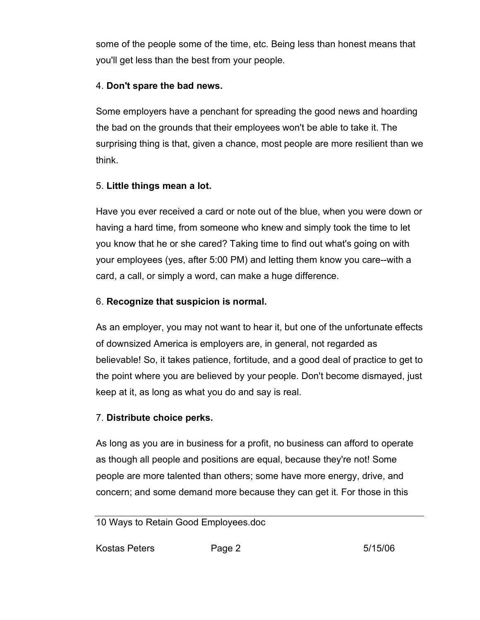some of the people some of the time, etc. Being less than honest means that you'll get less than the best from your people.

#### 4. **Don't spare the bad news.**

Some employers have a penchant for spreading the good news and hoarding the bad on the grounds that their employees won't be able to take it. The surprising thing is that, given a chance, most people are more resilient than we think.

## 5. **Little things mean a lot.**

Have you ever received a card or note out of the blue, when you were down or having a hard time, from someone who knew and simply took the time to let you know that he or she cared? Taking time to find out what's going on with your employees (yes, after 5:00 PM) and letting them know you care--with a card, a call, or simply a word, can make a huge difference.

## 6. **Recognize that suspicion is normal.**

As an employer, you may not want to hear it, but one of the unfortunate effects of downsized America is employers are, in general, not regarded as believable! So, it takes patience, fortitude, and a good deal of practice to get to the point where you are believed by your people. Don't become dismayed, just keep at it, as long as what you do and say is real.

#### 7. **Distribute choice perks.**

As long as you are in business for a profit, no business can afford to operate as though all people and positions are equal, because they're not! Some people are more talented than others; some have more energy, drive, and concern; and some demand more because they can get it. For those in this

10 Ways to Retain Good Employees.doc

Kostas Peters **Page 2** 5/15/06